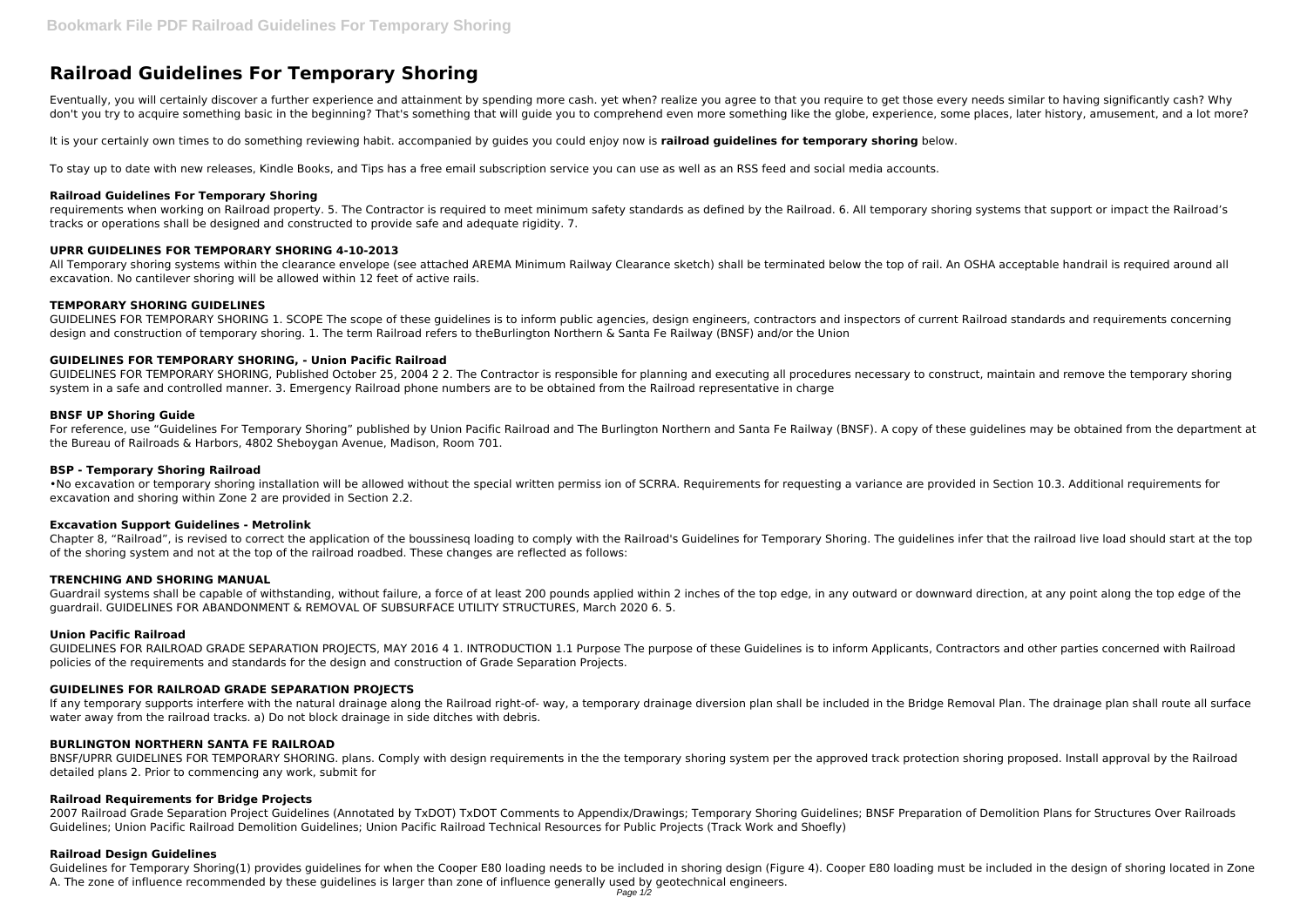Eventually, you will certainly discover a further experience and attainment by spending more cash. yet when? realize you agree to that you require to get those every needs similar to having significantly cash? Why don't you try to acquire something basic in the beginning? That's something that will guide you to comprehend even more something like the globe, experience, some places, later history, amusement, and a lot more?

# **Railroad Guidelines For Temporary Shoring**

requirements when working on Railroad property. 5. The Contractor is required to meet minimum safety standards as defined by the Railroad. 6. All temporary shoring systems that support or impact the Railroad's tracks or operations shall be designed and constructed to provide safe and adequate rigidity. 7.

It is your certainly own times to do something reviewing habit. accompanied by guides you could enjoy now is **railroad guidelines for temporary shoring** below.

To stay up to date with new releases, Kindle Books, and Tips has a free email subscription service you can use as well as an RSS feed and social media accounts.

All Temporary shoring systems within the clearance envelope (see attached AREMA Minimum Railway Clearance sketch) shall be terminated below the top of rail. An OSHA acceptable handrail is required around all excavation. No cantilever shoring will be allowed within 12 feet of active rails.

#### **Railroad Guidelines For Temporary Shoring**

# **UPRR GUIDELINES FOR TEMPORARY SHORING 4-10-2013**

# **TEMPORARY SHORING GUIDELINES**

GUIDELINES FOR TEMPORARY SHORING 1. SCOPE The scope of these guidelines is to inform public agencies, design engineers, contractors and inspectors of current Railroad standards and requirements concerning design and construction of temporary shoring. 1. The term Railroad refers to theBurlington Northern & Santa Fe Railway (BNSF) and/or the Union

# **GUIDELINES FOR TEMPORARY SHORING, - Union Pacific Railroad**

GUIDELINES FOR TEMPORARY SHORING, Published October 25, 2004 2 2. The Contractor is responsible for planning and executing all procedures necessary to construct, maintain and remove the temporary shoring system in a safe and controlled manner. 3. Emergency Railroad phone numbers are to be obtained from the Railroad representative in charge

If any temporary supports interfere with the natural drainage along the Railroad right-of- way, a temporary drainage diversion plan shall be included in the Bridge Removal Plan. The drainage plan shall route all surface water away from the railroad tracks. a) Do not block drainage in side ditches with debris.

#### **BNSF UP Shoring Guide**

For reference, use "Guidelines For Temporary Shoring" published by Union Pacific Railroad and The Burlington Northern and Santa Fe Railway (BNSF). A copy of these guidelines may be obtained from the department at the Bureau of Railroads & Harbors, 4802 Sheboygan Avenue, Madison, Room 701.

2007 Railroad Grade Separation Project Guidelines (Annotated by TxDOT) TxDOT Comments to Appendix/Drawings; Temporary Shoring Guidelines; BNSF Preparation of Demolition Plans for Structures Over Railroads Guidelines; Union Pacific Railroad Demolition Guidelines; Union Pacific Railroad Technical Resources for Public Projects (Track Work and Shoefly)

# **BSP - Temporary Shoring Railroad**

Guidelines for Temporary Shoring(1) provides guidelines for when the Cooper E80 loading needs to be included in shoring design (Figure 4). Cooper E80 loading must be included in the design of shoring located in Zone A. The zone of influence recommended by these guidelines is larger than zone of influence generally used by geotechnical engineers.

•No excavation or temporary shoring installation will be allowed without the special written permiss ion of SCRRA. Requirements for requesting a variance are provided in Section 10.3. Additional requirements for excavation and shoring within Zone 2 are provided in Section 2.2.

# **Excavation Support Guidelines - Metrolink**

Chapter 8, "Railroad", is revised to correct the application of the boussinesq loading to comply with the Railroad's Guidelines for Temporary Shoring. The guidelines infer that the railroad live load should start at the top of the shoring system and not at the top of the railroad roadbed. These changes are reflected as follows:

# **TRENCHING AND SHORING MANUAL**

Guardrail systems shall be capable of withstanding, without failure, a force of at least 200 pounds applied within 2 inches of the top edge, in any outward or downward direction, at any point along the top edge of the guardrail. GUIDELINES FOR ABANDONMENT & REMOVAL OF SUBSURFACE UTILITY STRUCTURES, March 2020 6. 5.

#### **Union Pacific Railroad**

GUIDELINES FOR RAILROAD GRADE SEPARATION PROJECTS, MAY 2016 4 1. INTRODUCTION 1.1 Purpose The purpose of these Guidelines is to inform Applicants, Contractors and other parties concerned with Railroad policies of the requirements and standards for the design and construction of Grade Separation Projects.

# **GUIDELINES FOR RAILROAD GRADE SEPARATION PROJECTS**

# **BURLINGTON NORTHERN SANTA FE RAILROAD**

BNSF/UPRR GUIDELINES FOR TEMPORARY SHORING. plans. Comply with design requirements in the the temporary shoring system per the approved track protection shoring proposed. Install approval by the Railroad detailed plans 2. Prior to commencing any work, submit for

# **Railroad Requirements for Bridge Projects**

# **Railroad Design Guidelines**